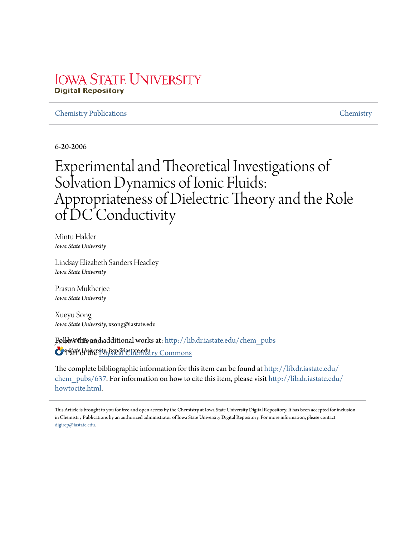## **IOWA STATE UNIVERSITY Digital Repository**

## Chemistry Publications Chemistry

6-20-2006

# Experimental and Theoretical Investigations of Solvation Dynamics of Ionic Fluids: Appropriateness of Dielectric Theory and the Role of DC Conductivity

Mintu Halder *Iowa State University*

Lindsay Elizabeth Sanders Headley *Iowa State University*

Prasun Mukherjee *Iowa State University*

Xueyu Song *Iowa State University*, xsong@iastate.edu

**FællbWWhPstandhadditional works at: http://lib.dr.iastate.edu/chem\_pubs** *Iowa State University*, jwp@iastate.edu Part of the Physical Chemistry Commons

The complete bibliographic information for this item can be found at http://lib.dr.iastate.edu/ chem\_pubs/637. For information on how to cite this item, please visit http://lib.dr.iastate.edu/ howtocite.html.

This Article is brought to you for free and open access by the Chemistry at Iowa State University Digital Repository. It has been accepted for inclusion in Chemistry Publications by an authorized administrator of Iowa State University Digital Repository. For more information, please contact digirep@iastate.edu.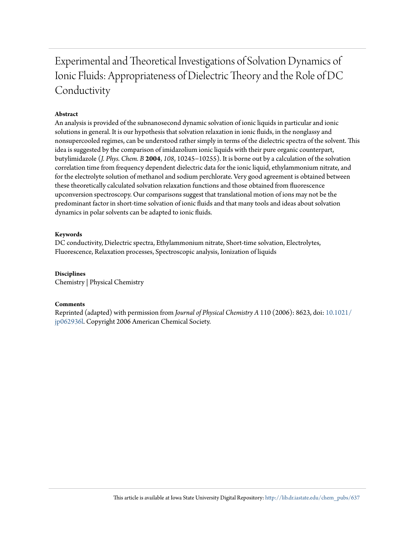## Experimental and Theoretical Investigations of Solvation Dynamics of Ionic Fluids: Appropriateness of Dielectric Theory and the Role of DC Conductivity

## **Abstract**

An analysis is provided of the subnanosecond dynamic solvation of ionic liquids in particular and ionic solutions in general. It is our hypothesis that solvation relaxation in ionic fluids, in the nonglassy and nonsupercooled regimes, can be understood rather simply in terms of the dielectric spectra of the solvent. This idea is suggested by the comparison of imidazolium ionic liquids with their pure organic counterpart, butylimidazole (*J. Phys. Chem. B* **2004**, *108*, 10245−10255). It is borne out by a calculation of the solvation correlation time from frequency dependent dielectric data for the ionic liquid, ethylammonium nitrate, and for the electrolyte solution of methanol and sodium perchlorate. Very good agreement is obtained between these theoretically calculated solvation relaxation functions and those obtained from fluorescence upconversion spectroscopy. Our comparisons suggest that translational motion of ions may not be the predominant factor in short-time solvation of ionic fluids and that many tools and ideas about solvation dynamics in polar solvents can be adapted to ionic fluids.

### **Keywords**

DC conductivity, Dielectric spectra, Ethylammonium nitrate, Short-time solvation, Electrolytes, Fluorescence, Relaxation processes, Spectroscopic analysis, Ionization of liquids

### **Disciplines**

Chemistry | Physical Chemistry

### **Comments**

Reprinted (adapted) with permission from *Journal of Physical Chemistry A* 110 (2006): 8623, doi: 10.1021/ jp062936l. Copyright 2006 American Chemical Society.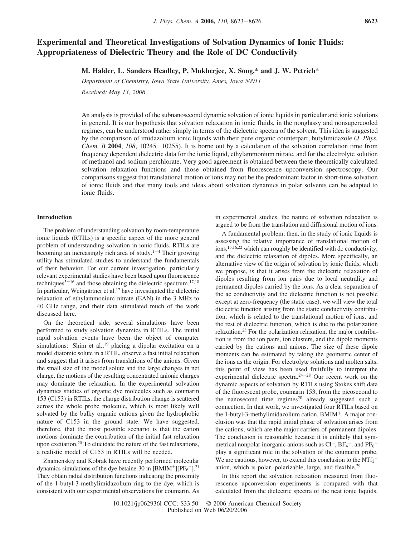## **Experimental and Theoretical Investigations of Solvation Dynamics of Ionic Fluids: Appropriateness of Dielectric Theory and the Role of DC Conductivity**

**M. Halder, L. Sanders Headley, P. Mukherjee, X. Song,\* and J. W. Petrich\***

*Department of Chemistry, Iowa State University, Ames, Iowa 50011* 

*Recei*V*ed: May 13, 2006*

An analysis is provided of the subnanosecond dynamic solvation of ionic liquids in particular and ionic solutions in general. It is our hypothesis that solvation relaxation in ionic fluids, in the nonglassy and nonsupercooled regimes, can be understood rather simply in terms of the dielectric spectra of the solvent. This idea is suggested by the comparison of imidazolium ionic liquids with their pure organic counterpart, butylimidazole (*J. Phys. Chem. B* **2004**, *108*, 10245-10255). It is borne out by a calculation of the solvation correlation time from frequency dependent dielectric data for the ionic liquid, ethylammonium nitrate, and for the electrolyte solution of methanol and sodium perchlorate. Very good agreement is obtained between these theoretically calculated solvation relaxation functions and those obtained from fluorescence upconversion spectroscopy. Our comparisons suggest that translational motion of ions may not be the predominant factor in short-time solvation of ionic fluids and that many tools and ideas about solvation dynamics in polar solvents can be adapted to ionic fluids.

#### **Introduction**

The problem of understanding solvation by room-temperature ionic liquids (RTILs) is a specific aspect of the more general problem of understanding solvation in ionic fluids. RTILs are becoming an increasingly rich area of study. $1-4$  Their growing utility has stimulated studies to understand the fundamentals of their behavior. For our current investigation, particularly relevant experimental studies have been based upon fluorescence techniques $5-16$  and those obtaining the dielectric spectrum.<sup>17,18</sup> In particular, Weingärtner et al.<sup>17</sup> have investigated the dielectric relaxation of ethylammonium nitrate (EAN) in the 3 MHz to 40 GHz range, and their data stimulated much of the work discussed here.

On the theoretical side, several simulations have been performed to study solvation dynamics in RTILs. The initial rapid solvation events have been the object of computer simulations: Shim et al., <sup>19</sup> placing a dipolar excitation on a model diatomic solute in a RTIL, observe a fast initial relaxation and suggest that it arises from translations of the anions. Given the small size of the model solute and the large changes in net charge, the motions of the resulting concentrated anionic charges may dominate the relaxation. In the experimental solvation dynamics studies of organic dye molecules such as coumarin 153 (C153) in RTILs, the charge distribution change is scattered across the whole probe molecule, which is most likely well solvated by the bulky organic cations given the hydrophobic nature of C153 in the ground state. We have suggested, therefore, that the most possible scenario is that the cation motions dominate the contribution of the initial fast relaxation upon excitation.<sup>20</sup> To elucidate the nature of the fast relaxations, a realistic model of C153 in RTILs will be needed.

Znamenskiy and Kobrak have recently performed molecular dynamics simulations of the dye betaine-30 in  $[BMIM^+] [PF_6^-]$ .<sup>21</sup> They obtain radial distribution functions indicating the proximity of the 1-butyl-3-methylimidazolium ring to the dye, which is consistent with our experimental observations for coumarin. As in experimental studies, the nature of solvation relaxation is argued to be from the translation and diffusional motion of ions.

A fundamental problem, then, in the study of ionic liquids is assessing the relative importance of translational motion of ions,15,16,22 which can roughly be identified with dc conductivity, and the dielectric relaxation of dipoles. More specifically, an alternative view of the origin of solvation by ionic fluids, which we propose, is that it arises from the dielectric relaxation of dipoles resulting from ion pairs due to local neutrality and permanent dipoles carried by the ions. As a clear separation of the ac conductivity and the dielectric function is not possible except at zero-frequency (the static case), we will view the total dielectric function arising from the static conductivity contribution, which is related to the translational motion of ions, and the rest of dielectric function, which is due to the polarization relaxation.<sup>23</sup> For the polarization relaxation, the major contribution is from the ion pairs, ion clusters, and the dipole moments carried by the cations and anions. The size of these dipole moments can be estimated by taking the geometric center of the ions as the origin. For electrolyte solutions and molten salts, this point of view has been used fruitfully to interpret the experimental dielectric spectra.<sup>24</sup>-<sup>28</sup> Our recent work on the dynamic aspects of solvation by RTILs using Stokes shift data of the fluorescent probe, coumarin 153, from the picosecond to the nanosecond time regimes<sup>20</sup> already suggested such a connection. In that work, we investigated four RTILs based on the 1-butyl-3-methylimidazolium cation, BMIM<sup>+</sup>. A major conclusion was that the rapid initial phase of solvation arises from the cations, which are the major carriers of permanent dipoles. The conclusion is reasonable because it is unlikely that symmetrical nonpolar inorganic anions such as  $Cl^-$ ,  $BF_4^-$ , and  $PF_6^$ play a significant role in the solvation of the coumarin probe. We are cautious, however, to extend this conclusion to the  $\text{NTf}_2$ <sup>-</sup> anion, which is polar, polarizable, large, and flexible.<sup>29</sup>

In this report the solvation relaxation measured from fluorescence upconversion experiments is compared with that calculated from the dielectric spectra of the neat ionic liquids.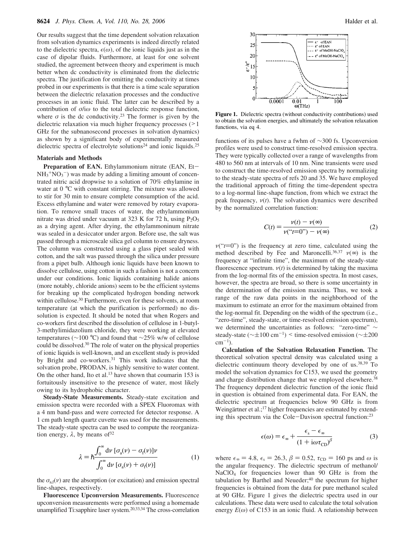Our results suggest that the time dependent solvation relaxation from solvation dynamics experiments is indeed directly related to the dielectric spectra,  $\epsilon(\omega)$ , of the ionic liquids just as in the case of dipolar fluids. Furthermore, at least for one solvent studied, the agreement between theory and experiment is much better when dc conductivity is eliminated from the dielectric spectra. The justification for omitting the conductivity at times probed in our experiments is that there is a time scale separation between the dielectric relaxation processes and the conductive processes in an ionic fluid. The latter can be described by a contribution of  $\sigma/\omega$  to the total dielectric response function, where  $\sigma$  is the dc conductivity.<sup>23</sup> The former is given by the dielectric relaxation via much higher frequency processes (>1 GHz for the subnanosecond processes in solvation dynamics) as shown by a significant body of experimentally measured dielectric spectra of electrolyte solutions<sup>24</sup> and ionic liquids.<sup>25</sup>

#### **Materials and Methods**

**Preparation of EAN.** Ethylammonium nitrate (EAN, Et- $NH_3^+NO_3^-$ ) was made by adding a limiting amount of concentrated nitric acid dropwise to a solution of 70% ethylamine in water at 0 °C with constant stirring. The mixture was allowed to stir for 30 min to ensure complete consumption of the acid. Excess ethylamine and water were removed by rotary evaporation. To remove small traces of water, the ethylammonium nitrate was dried under vacuum at 323 K for 72 h, using  $P_2O_5$ as a drying agent. After drying, the ethylammoninum nitrate was sealed in a desiccator under argon. Before use, the salt was passed through a microscale silica gel column to ensure dryness. The column was constructed using a glass pipet sealed with cotton, and the salt was passed through the silica under pressure from a pipet bulb. Although ionic liquids have been known to dissolve cellulose, using cotton in such a fashion is not a concern under our conditions. Ionic liquids containing halide anions (more notably, chloride anions) seem to be the efficient systems for breaking up the complicated hydrogen bonding network within cellulose.<sup>30</sup> Furthermore, even for these solvents, at room temperature (at which the purification is performed) no dissolution is expected. It should be noted that when Rogers and co-workers first described the dissolution of cellulose in 1-butyl-3-methylimidazolium chloride, they were working at elevated temperatures (∼100 °C) and found that ∼25% w/w of cellulose could be dissolved.<sup>30</sup> The role of water on the physical properties of ionic liquids is well-known, and an excellent study is provided by Bright and co-workers.<sup>31</sup> This work indicates that the solvation probe, PRODAN, is highly sensitive to water content. On the other hand, Ito et al.<sup>13</sup> have shown that coumarin 153 is fortuitously insensitive to the presence of water, most likely owing to its hydrophobic character.

**Steady-State Measurements.** Steady-state excitation and emission spectra were recorded with a SPEX Fluoromax with a 4 nm band-pass and were corrected for detector response. A 1 cm path length quartz cuvette was used for the measurements. The steady-state spectra can be used to compute the reorganization energy,  $\lambda$ , by means of  $32$ 

$$
\lambda = \hbar \frac{\int_0^\infty d\nu \left[ \sigma_a(\nu) - \sigma_f(\nu) \right] \nu}{\int_0^\infty d\nu \left[ \sigma_a(\nu) + \sigma_f(\nu) \right]}
$$
(1)

the  $\sigma_{\text{a,f}}(\nu)$  are the absorption (or excitation) and emission spectral line-shapes, respectively.

**Fluorescence Upconversion Measurements.** Fluorescence upconversion measurements were performed using a homemade unamplified Ti:sapphire laser system.20,33,34 The cross-correlation



**Figure 1.** Dielectric spectra (without conductivity contributions) used to obtain the solvation energies, and ultimately the solvation relaxation functions, via eq 4.

functions of its pulses have a fwhm of ∼300 fs. Upconversion profiles were used to construct time-resolved emission spectra. They were typically collected over a range of wavelengths from 480 to 560 nm at intervals of 10 nm. Nine transients were used to construct the time-resolved emission spectra by normalizing to the steady-state spectra of refs 20 and 35. We have employed the traditional approach of fitting the time-dependent spectra to a log-normal line-shape function, from which we extract the peak frequency,  $v(t)$ . The solvation dynamics were described by the normalized correlation function:

$$
C(t) = \frac{\nu(t) - \nu(\infty)}{\nu(\Upsilon - 0) - \nu(\infty)}
$$
 (2)

 $v("t=0")$  is the frequency at zero time, calculated using the method described by Fee and Maroncelli.<sup>36,37</sup>  $v(\infty)$  is the frequency at "infinite time", the maximum of the steady-state fluorescence spectrum.  $v(t)$  is determined by taking the maxima from the log-normal fits of the emission spectra. In most cases, however, the spectra are broad, so there is some uncertainty in the determination of the emission maxima. Thus, we took a range of the raw data points in the neighborhood of the maximum to estimate an error for the maximum obtained from the log-normal fit. Depending on the width of the spectrum (i.e., "zero-time", steady-state, or time-resolved emission spectrum), we determined the uncertainties as follows: "zero-time" ∼ steady-state ( $\sim \pm 100 \text{ cm}^{-1}$ ) < time-resolved emission ( $\sim \pm 200$  $\text{cm}^{-1}$ ).

**Calculation of the Solvation Relaxation Function.** The theoretical solvation spectral density was calculated using a dielectric continuum theory developed by one of us.<sup>38,39</sup> To model the solvation dynamics for C153, we used the geometry and charge distribution change that we employed elsewhere.<sup>38</sup> The frequency dependent dielectric function of the ionic fluid in question is obtained from experimental data. For EAN, the dielectric spectrum at frequencies below 90 GHz is from Weingärtner et al.;<sup>17</sup> higher frequencies are estimated by extending this spectrum via the Cole-Davison spectral function:<sup>23</sup>

$$
\epsilon(\omega) = \epsilon_{\infty} + \frac{\epsilon_{\rm s} - \epsilon_{\infty}}{\left(1 + \mathrm{i}\omega\tau_{\rm CD}\right)^{\beta}}
$$
(3)

where  $\epsilon_{\infty}$  = 4.8,  $\epsilon_{s}$  = 26.3,  $\beta$  = 0.52,  $\tau_{CD}$  = 160 ps and  $\omega$  is the angular frequency. The dielectric spectrum of methanol/ NaClO<sup>4</sup> for frequencies lower than 90 GHz is from the tabulation by Barthel and Neueder;<sup>40</sup> the spectrum for higher frequencies is obtained from the data for pure methanol scaled at 90 GHz. Figure 1 gives the dielectric spectra used in our calculations. These data were used to calculate the total solvation energy  $E(\omega)$  of C153 in an ionic fluid. A relationship between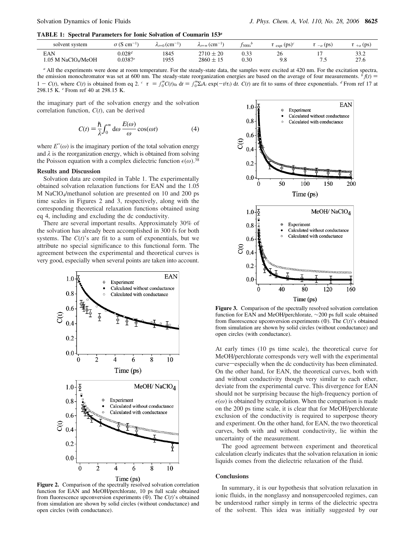**TABLE 1: Spectral Parameters for Ionic Solvation of Coumarin 153***<sup>a</sup>*

| solvent system     | $\sigma$ (S cm <sup>-1</sup> | $\lambda_{t=0}$ (cm <sup>-1</sup> ) | $\lambda_{t=\infty}$ (cm <sup>-1)</sup> | $f_{300\mathrm{fs}}$ | $\langle \tau \rangle_{\rm expt}$ (ps) <sup>c</sup> | $\langle \tau \rangle_{-\sigma}$ (ps) | $\langle \tau \rangle_{+\sigma}$ (ps) |
|--------------------|------------------------------|-------------------------------------|-----------------------------------------|----------------------|-----------------------------------------------------|---------------------------------------|---------------------------------------|
| EAN                | $0.028^d$                    | 1845                                | $2710 \pm 20$                           | 0.33                 | 26                                                  | ت -                                   | 33.2                                  |
| 1.05 M NaClO4/MeOH | 0.0387e                      | 1955                                | $2860 \pm 15$                           | 0.30                 | 9.8                                                 |                                       | 27.6                                  |

*<sup>a</sup>* All the experiments were done at room temperature. For the steady-state data, the samples were excited at 420 nm. For the excitation spectra, the emission monochromator was set at 600 nm. The steady-state reorganization energies are based on the average of four measurements.  ${}^{b}f(t)$  $1 - C(t)$ , where  $C(t)$  is obtained from eq 2.  $\epsilon \langle \tau \rangle = \int_0^{\infty} C(t)_{\text{fit}} dt = \int_0^{\infty} \sum_i A_i \exp(-t/\tau_i) dt$ .  $C(t)$  are fit to sums of three exponentials. <sup>*d*</sup> From ref 17 at 298.15 K. *<sup>e</sup>* From ref 40 at 298.15 K.

the imaginary part of the solvation energy and the solvation correlation function, *C*(*t*), can be derived

$$
C(t) = \frac{\hbar}{\lambda} \int_0^\infty d\omega \, \frac{E(\omega)}{\omega} \cos(\omega t) \tag{4}
$$

where  $E''(\omega)$  is the imaginary portion of the total solvation energy and  $\lambda$  is the reorganization energy, which is obtained from solving the Poisson equation with a complex dielectric function  $\epsilon(\omega)$ .<sup>38</sup>

#### **Results and Discussion**

Solvation data are compiled in Table 1. The experimentally obtained solvation relaxation functions for EAN and the 1.05 M NaClO4/methanol solution are presented on 10 and 200 ps time scales in Figures 2 and 3, respectively, along with the corresponding theoretical relaxation functions obtained using eq 4, including and excluding the dc conductivity.

There are several important results. Approximately 30% of the solvation has already been accomplished in 300 fs for both systems. The  $C(t)$ 's are fit to a sum of exponentials, but we attribute no special significance to this functional form. The agreement between the experimental and theoretical curves is very good, especially when several points are taken into account.



**Figure 2.** Comparison of the spectrally resolved solvation correlation function for EAN and MeOH/perchlorate, 10 ps full scale obtained from fluorescence upconversion experiments  $(\oplus)$ . The  $C(t)$ 's obtained from simulation are shown by solid circles (without conductance) and open circles (with conductance).



**Figure 3.** Comparison of the spectrally resolved solvation correlation function for EAN and MeOH/perchlorate, ∼200 ps full scale obtained from fluorescence upconversion experiments  $(\oplus)$ . The  $C(t)$ 's obtained from simulation are shown by solid circles (without conductance) and open circles (with conductance).

At early times (10 ps time scale), the theoretical curve for MeOH/perchlorate corresponds very well with the experimental curve—especially when the dc conductivity has been eliminated. On the other hand, for EAN, the theoretical curves, both with and without conductivity though very similar to each other, deviate from the experimental curve. This divergence for EAN should not be surprising because the high-frequency portion of  $\epsilon(\omega)$  is obtained by extrapolation. When the comparison is made on the 200 ps time scale, it is clear that for MeOH/perchlorate exclusion of the conductivity is required to superpose theory and experiment. On the other hand, for EAN, the two theoretical curves, both with and without conductivity, lie within the uncertainty of the measurement.

The good agreement between experiment and theoretical calculation clearly indicates that the solvation relaxation in ionic liquids comes from the dielectric relaxation of the fluid.

#### **Conclusions**

In summary, it is our hypothesis that solvation relaxation in ionic fluids, in the nonglassy and nonsupercooled regimes, can be understood rather simply in terms of the dielectric spectra of the solvent. This idea was initially suggested by our